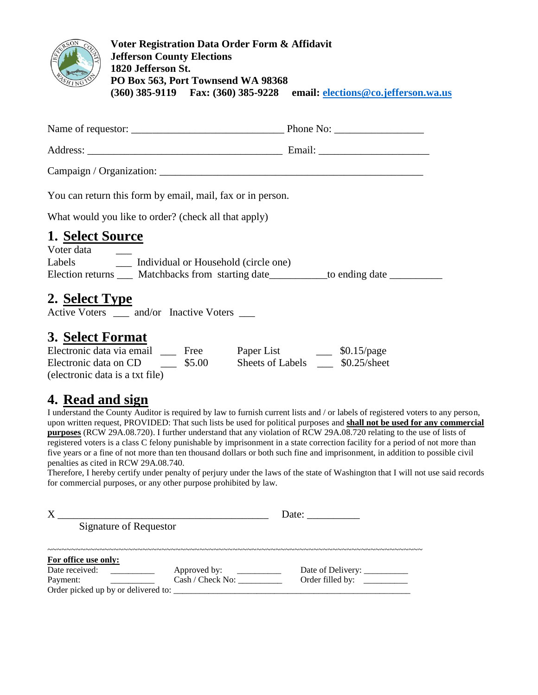

**Voter Registration Data Order Form & Affidavit Jefferson County Elections 1820 Jefferson St. PO Box 563, Port Townsend WA 98368 (360) 385-9119 Fax: (360) 385-9228 email: [elections@co.jefferson.wa.us](mailto:elections@co.jefferson.wa.us)**

| You can return this form by email, mail, fax or in person. |                |
|------------------------------------------------------------|----------------|
| What would you like to order? (check all that apply)       |                |
| 1. Select Source                                           |                |
| Voter data                                                 |                |
| Individual or Household (circle one)<br>Labels             |                |
| Matchbacks from starting date<br>Election returns          | to ending date |

# **2. Select Type**

Active Voters and/or Inactive Voters

#### **3. Select Format**

| Electronic data via email       | Free   | Paper List       | $$0.15$ /page  |
|---------------------------------|--------|------------------|----------------|
| Electronic data on CD           | \$5.00 | Sheets of Labels | $$0.25/s$ heet |
| (electronic data is a txt file) |        |                  |                |

### **4. Read and sign**

I understand the County Auditor is required by law to furnish current lists and / or labels of registered voters to any person, upon written request, PROVIDED: That such lists be used for political purposes and **shall not be used for any commercial purposes** (RCW 29A.08.720). I further understand that any violation of RCW 29A.08.720 relating to the use of lists of registered voters is a class C felony punishable by imprisonment in a state correction facility for a period of not more than five years or a fine of not more than ten thousand dollars or both such fine and imprisonment, in addition to possible civil penalties as cited in RCW 29A.08.740.

Therefore, I hereby certify under penalty of perjury under the laws of the state of Washington that I will not use said records for commercial purposes, or any other purpose prohibited by law.

|                                                 | Date: $\frac{ }{ }$ |                   |  |
|-------------------------------------------------|---------------------|-------------------|--|
| Signature of Requestor                          |                     |                   |  |
| For office use only:                            |                     |                   |  |
| Date received:                                  | Approved by:        | Date of Delivery: |  |
| Payment:<br>Order picked up by or delivered to: | Cash / Check No:    |                   |  |
|                                                 |                     |                   |  |